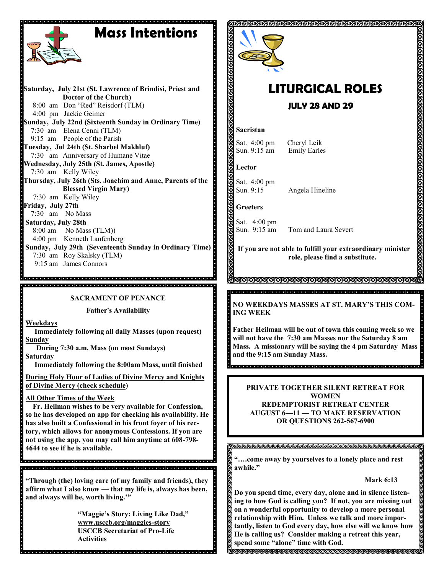# **Mass Intentions**

**Saturday, July 21st (St. Lawrence of Brindisi, Priest and Doctor of the Church)** 8:00 am Don "Red" Reisdorf (TLM) 4:00 pm Jackie Geimer **Sunday, July 22nd (Sixteenth Sunday in Ordinary Time)** 7:30 am Elena Cenni (TLM) 9:15 am People of the Parish **Tuesday, Jul 24th (St. Sharbel Makhluf)** 7:30 am Anniversary of Humane Vitae **Wednesday, July 25th (St. James, Apostle)** 7:30 am Kelly Wiley **Thursday, July 26th (Sts. Joachim and Anne, Parents of the Blessed Virgin Mary)**  7:30 am Kelly Wiley **Friday, July 27th** 7:30 am No Mass **Saturday, July 28th**  8:00 am No Mass (TLM)) 4:00 pm Kenneth Laufenberg **Sunday, July 29th (Seventeenth Sunday in Ordinary Time)** 7:30 am Roy Skalsky (TLM) 9:15 am James Connors

**SACRAMENT OF PENANCE**

**Father's Availability**

**Weekdays**

 **Immediately following all daily Masses (upon request) Sunday** 

 **During 7:30 a.m. Mass (on most Sundays)**

**Saturday**

 **Immediately following the 8:00am Mass, until finished** 

**During Holy Hour of Ladies of Divine Mercy and Knights of Divine Mercy (check schedule)**

**All Other Times of the Week** 

 **Fr. Heilman wishes to be very available for Confession, so he has developed an app for checking his availability. He has also built a Confessional in his front foyer of his rectory, which allows for anonymous Confessions. If you are not using the app, you may call him anytime at 608-798- 4644 to see if he is available.** 

**"Through (the) loving care (of my family and friends), they affirm what I also know — that my life is, always has been, and always will be, worth living.'"**

de la ciedad que la ciedad de ciedad de la ciedad de la ciedad de la ciedad de la ciedad de la ciedad

**"Maggie's Story: Living Like Dad," www.usccb.org/maggies-story USCCB Secretariat of Pro-Life Activities** 



# **LITURGICAL ROLES**

 **JULY 28 AND 29**

#### **Sacristan**

. . . . . . . . . . . . . . . . . . .

Sat. 4:00 pm Cheryl Leik Sun. 9:15 am Emily Earles

**Lector**

Sat. 4:00 pm Sun. 9:15 Angela Hineline

**Greeters**

Sat. 4:00 pm

Ė

Sun. 9:15 am Tom and Laura Severt

**If you are not able to fulfill your extraordinary minister role, please find a substitute.** 

<u>AMMAMMAMMAMMAMMAMMAMMAMMA</u>

**NO WEEKDAYS MASSES AT ST. MARY'S THIS COM-ING WEEK**

**Father Heilman will be out of town this coming week so we will not have the 7:30 am Masses nor the Saturday 8 am Mass. A missionary will be saying the 4 pm Saturday Mass and the 9:15 am Sunday Mass.** 

.<br>In the following the following the following the following the following the following the following the follow

**PRIVATE TOGETHER SILENT RETREAT FOR WOMEN REDEMPTORIST RETREAT CENTER AUGUST 6—11 — TO MAKE RESERVATION OR QUESTIONS 262-567-6900**

**"….come away by yourselves to a lonely place and rest awhile."**

#### **Mark 6:13**

**Do you spend time, every day, alone and in silence listening to how God is calling you? If not, you are missing out on a wonderful opportunity to develop a more personal relationship with Him. Unless we talk and more importantly, listen to God every day, how else will we know how He is calling us? Consider making a retreat this year, spend some "alone" time with God.** 

**SKRISKRISK SKRISK SKRISK SKRISK SKRISK**